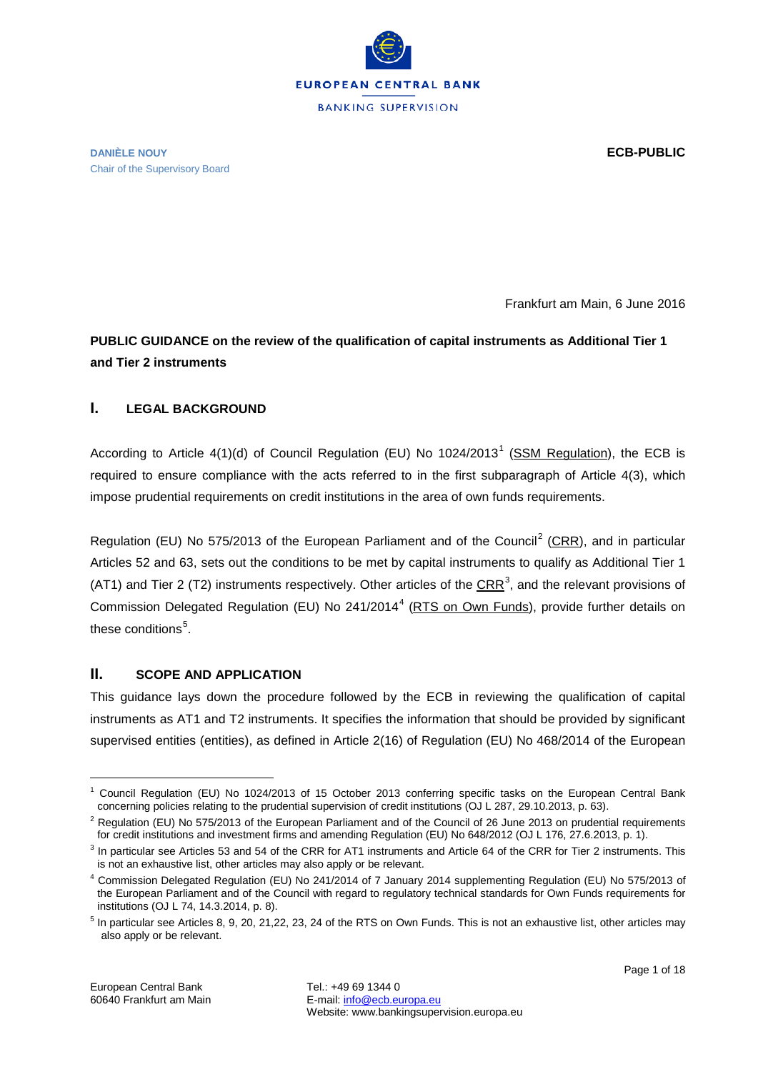

#### **DANIÈLE NOUY ECB-PUBLIC** Chair of the Supervisory Board

Frankfurt am Main, 6 June 2016

# **PUBLIC GUIDANCE on the review of the qualification of capital instruments as Additional Tier 1 and Tier 2 instruments**

# **I. LEGAL BACKGROUND**

According to Article  $4(1)(d)$  $4(1)(d)$  $4(1)(d)$  of Council Regulation (EU) No  $1024/2013<sup>1</sup>$  [\(SSM Regulation\)](http://www.europarl.europa.eu/document/activities/cont/201311/20131104ATT73792/20131104ATT73792EN.pdf), the ECB is required to ensure compliance with the acts referred to in the first subparagraph of Article 4(3), which impose prudential requirements on credit institutions in the area of own funds requirements.

Regulation (EU) No 575/[2](#page-0-1)013 of the European Parliament and of the Council<sup>2</sup> [\(CRR\)](http://eur-lex.europa.eu/LexUriServ/LexUriServ.do?uri=OJ:L:2013:176:0001:0337:EN:PDF), and in particular Articles 52 and 63, sets out the conditions to be met by capital instruments to qualify as Additional Tier 1 (AT1) and Tier 2 (T2) instruments respectively. Other articles of the  $CRR^3$  $CRR^3$ , and the relevant provisions of Commission Delegated Regulation (EU) No 2[4](#page-0-3)1/2014<sup>4</sup> [\(RTS on Own Funds\)](http://eur-lex.europa.eu/legal-content/EN/TXT/PDF/?uri=CELEX:32014R0241&qid=1395850425643&from=FR), provide further details on these conditions<sup>[5](#page-0-4)</sup>.

## **II. SCOPE AND APPLICATION**

This guidance lays down the procedure followed by the ECB in reviewing the qualification of capital instruments as AT1 and T2 instruments. It specifies the information that should be provided by significant supervised entities (entities), as defined in Article 2(16) of Regulation (EU) No 468/2014 of the European

<span id="page-0-0"></span><sup>&</sup>lt;sup>1</sup> Council Regulation (EU) No 1024/2013 of 15 October 2013 conferring specific tasks on the European Central Bank concerning policies relating to the prudential supervision of credit institutions (OJ L 287, 29.10.2013, p. 63).

<span id="page-0-1"></span><sup>&</sup>lt;sup>2</sup> Regulation (EU) No 575/2013 of the European Parliament and of the Council of 26 June 2013 on prudential requirements for credit institutions and investment firms and amending Regulation (EU) No 648/2012 (OJ L 176, 27.6.2013, p. 1).

<span id="page-0-2"></span><sup>&</sup>lt;sup>3</sup> In particular see Articles 53 and 54 of the CRR for AT1 instruments and Article 64 of the CRR for Tier 2 instruments. This is not an exhaustive list, other articles may also apply or be relevant.

<span id="page-0-3"></span><sup>4</sup> Commission Delegated Regulation (EU) No 241/2014 of 7 January 2014 supplementing Regulation (EU) No 575/2013 of the European Parliament and of the Council with regard to regulatory technical standards for Own Funds requirements for institutions (OJ L 74, 14.3.2014, p. 8).

<span id="page-0-4"></span><sup>5</sup> In particular see Articles 8, 9, 20, 21,22, 23, 24 of the RTS on Own Funds. This is not an exhaustive list, other articles may also apply or be relevant.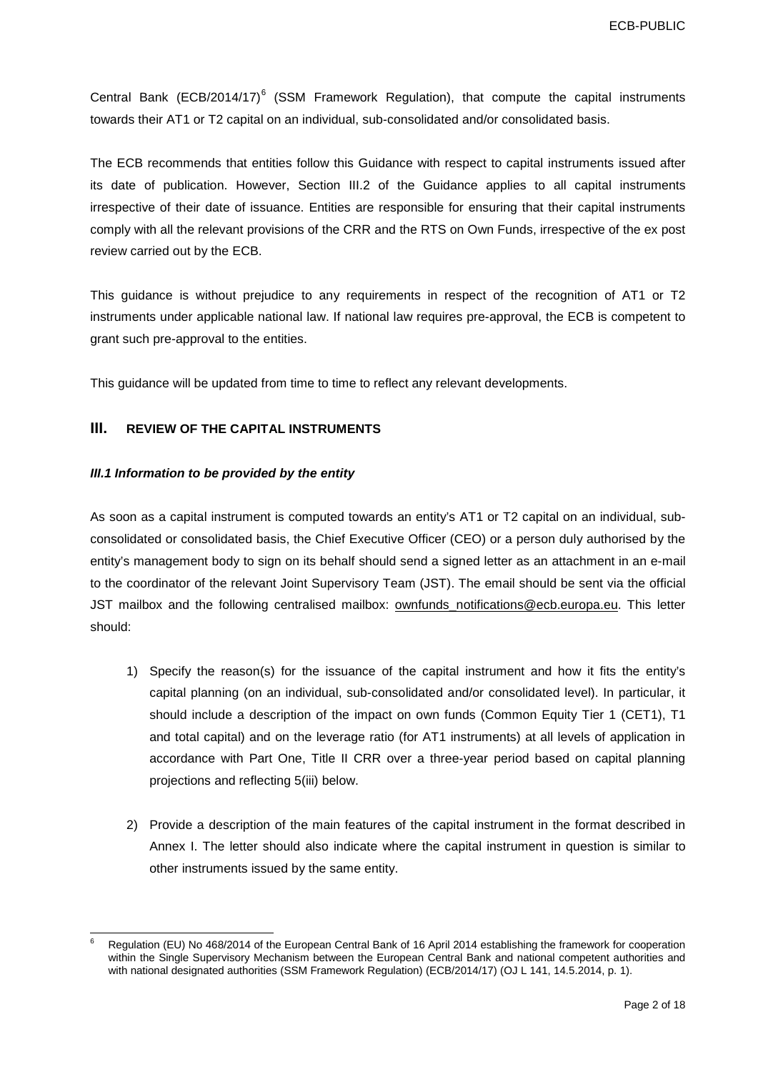Central Bank (ECB/2014/17)<sup>[6](#page-1-0)</sup> (SSM Framework Regulation), that compute the capital instruments towards their AT1 or T2 capital on an individual, sub-consolidated and/or consolidated basis.

The ECB recommends that entities follow this Guidance with respect to capital instruments issued after its date of publication. However, Section III.2 of the Guidance applies to all capital instruments irrespective of their date of issuance. Entities are responsible for ensuring that their capital instruments comply with all the relevant provisions of the CRR and the RTS on Own Funds, irrespective of the ex post review carried out by the ECB.

This guidance is without prejudice to any requirements in respect of the recognition of AT1 or T2 instruments under applicable national law. If national law requires pre-approval, the ECB is competent to grant such pre-approval to the entities.

This guidance will be updated from time to time to reflect any relevant developments.

### **III. REVIEW OF THE CAPITAL INSTRUMENTS**

#### *III.1 Information to be provided by the entity*

As soon as a capital instrument is computed towards an entity's AT1 or T2 capital on an individual, subconsolidated or consolidated basis, the Chief Executive Officer (CEO) or a person duly authorised by the entity's management body to sign on its behalf should send a signed letter as an attachment in an e-mail to the coordinator of the relevant Joint Supervisory Team (JST). The email should be sent via the official JST mailbox and the following centralised mailbox: [ownfunds\\_notifications@ecb.europa.eu.](mailto:ownfunds_notifications@ecb.europa.eu) This letter should:

- 1) Specify the reason(s) for the issuance of the capital instrument and how it fits the entity's capital planning (on an individual, sub-consolidated and/or consolidated level). In particular, it should include a description of the impact on own funds (Common Equity Tier 1 (CET1), T1 and total capital) and on the leverage ratio (for AT1 instruments) at all levels of application in accordance with Part One, Title II CRR over a three-year period based on capital planning projections and reflecting 5(iii) below.
- 2) Provide a description of the main features of the capital instrument in the format described in Annex I. The letter should also indicate where the capital instrument in question is similar to other instruments issued by the same entity.

<span id="page-1-0"></span> <sup>6</sup> Regulation (EU) No 468/2014 of the European Central Bank of 16 April 2014 establishing the framework for cooperation within the Single Supervisory Mechanism between the European Central Bank and national competent authorities and with national designated authorities (SSM Framework Regulation) (ECB/2014/17) (OJ L 141, 14.5.2014, p. 1).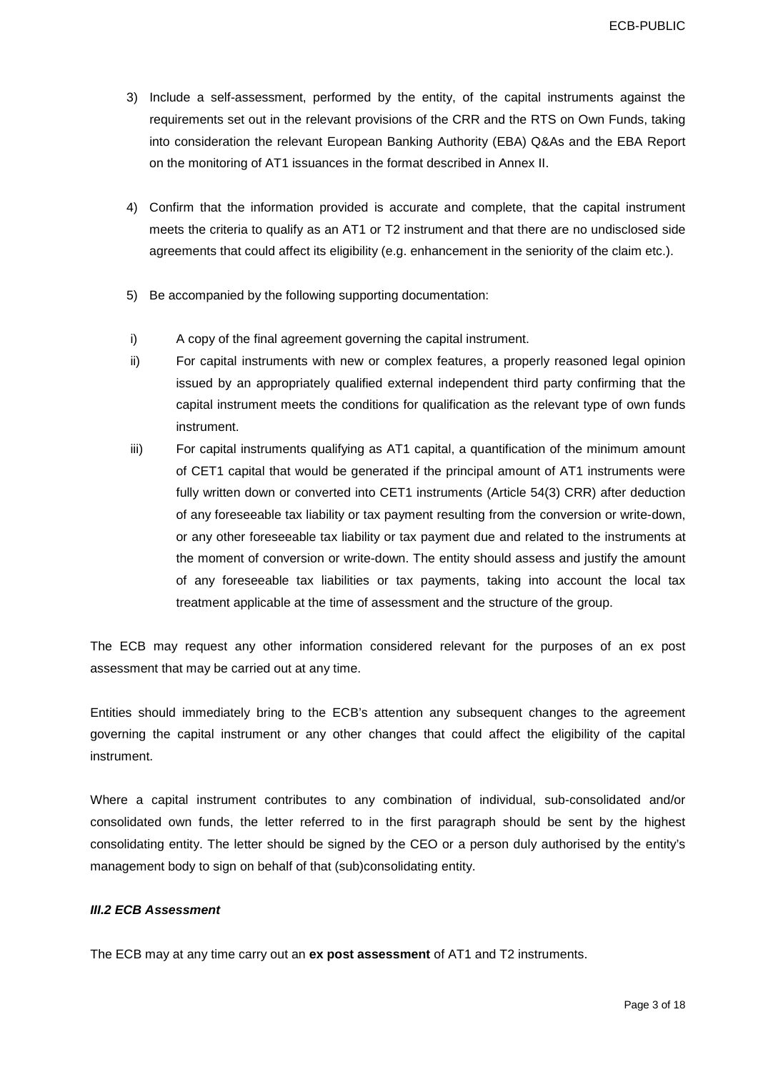- 3) Include a self-assessment, performed by the entity, of the capital instruments against the requirements set out in the relevant provisions of the CRR and the RTS on Own Funds, taking into consideration the relevant European Banking Authority (EBA) Q&As and the EBA Report on the monitoring of AT1 issuances in the format described in Annex II.
- 4) Confirm that the information provided is accurate and complete, that the capital instrument meets the criteria to qualify as an AT1 or T2 instrument and that there are no undisclosed side agreements that could affect its eligibility (e.g. enhancement in the seniority of the claim etc.).
- 5) Be accompanied by the following supporting documentation:
- i) A copy of the final agreement governing the capital instrument.
- ii) For capital instruments with new or complex features, a properly reasoned legal opinion issued by an appropriately qualified external independent third party confirming that the capital instrument meets the conditions for qualification as the relevant type of own funds instrument.
- iii) For capital instruments qualifying as AT1 capital, a quantification of the minimum amount of CET1 capital that would be generated if the principal amount of AT1 instruments were fully written down or converted into CET1 instruments (Article 54(3) CRR) after deduction of any foreseeable tax liability or tax payment resulting from the conversion or write-down, or any other foreseeable tax liability or tax payment due and related to the instruments at the moment of conversion or write-down. The entity should assess and justify the amount of any foreseeable tax liabilities or tax payments, taking into account the local tax treatment applicable at the time of assessment and the structure of the group.

The ECB may request any other information considered relevant for the purposes of an ex post assessment that may be carried out at any time.

Entities should immediately bring to the ECB's attention any subsequent changes to the agreement governing the capital instrument or any other changes that could affect the eligibility of the capital instrument.

Where a capital instrument contributes to any combination of individual, sub-consolidated and/or consolidated own funds, the letter referred to in the first paragraph should be sent by the highest consolidating entity. The letter should be signed by the CEO or a person duly authorised by the entity's management body to sign on behalf of that (sub)consolidating entity.

#### *III.2 ECB Assessment*

The ECB may at any time carry out an **ex post assessment** of AT1 and T2 instruments.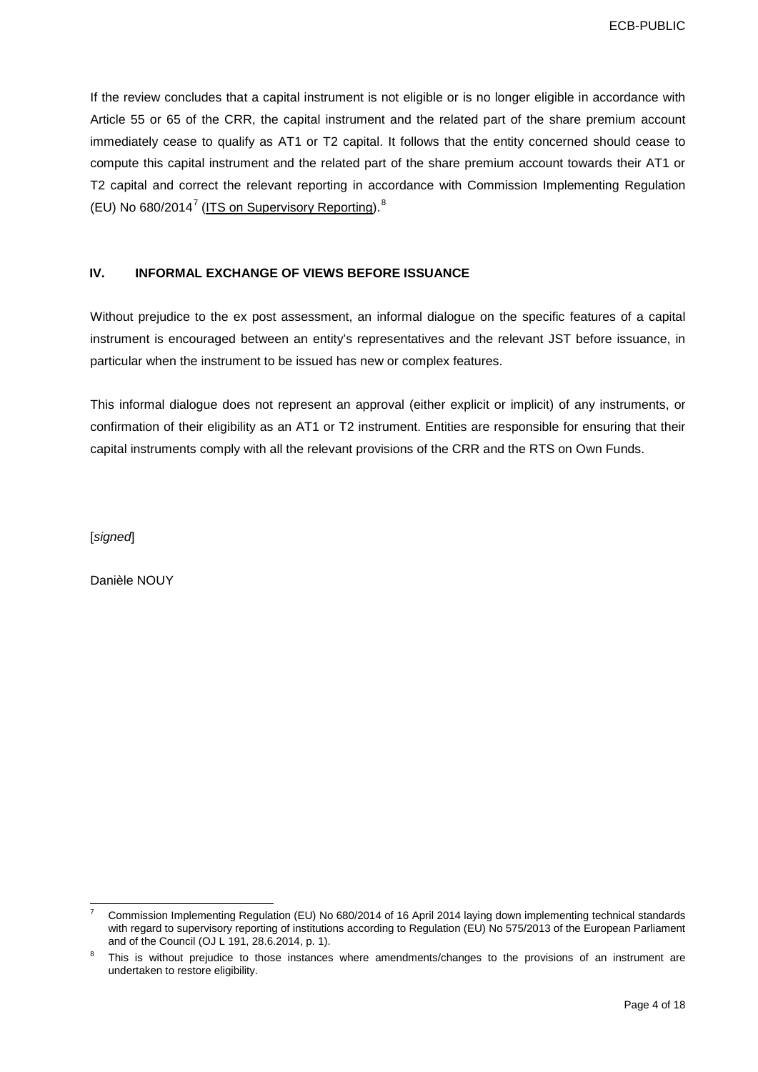If the review concludes that a capital instrument is not eligible or is no longer eligible in accordance with Article 55 or 65 of the CRR, the capital instrument and the related part of the share premium account immediately cease to qualify as AT1 or T2 capital. It follows that the entity concerned should cease to compute this capital instrument and the related part of the share premium account towards their AT1 or T2 capital and correct the relevant reporting in accordance with Commission Implementing Regulation (EU) No  $680/2014^7$  $680/2014^7$  [\(ITS on Supervisory Reporting\)](http://eur-lex.europa.eu/legal-content/EN/TXT/PDF/?uri=OJ:L:2014:191:FULL&from=EN).<sup>[8](#page-3-1)</sup>

## **IV. INFORMAL EXCHANGE OF VIEWS BEFORE ISSUANCE**

Without prejudice to the ex post assessment, an informal dialogue on the specific features of a capital instrument is encouraged between an entity's representatives and the relevant JST before issuance, in particular when the instrument to be issued has new or complex features.

This informal dialogue does not represent an approval (either explicit or implicit) of any instruments, or confirmation of their eligibility as an AT1 or T2 instrument. Entities are responsible for ensuring that their capital instruments comply with all the relevant provisions of the CRR and the RTS on Own Funds.

[*signed*]

Danièle NOUY

<span id="page-3-0"></span> <sup>7</sup> Commission Implementing Regulation (EU) No 680/2014 of 16 April 2014 laying down implementing technical standards with regard to supervisory reporting of institutions according to Regulation (EU) No 575/2013 of the European Parliament and of the Council (OJ L 191, 28.6.2014, p. 1).

<span id="page-3-1"></span>This is without prejudice to those instances where amendments/changes to the provisions of an instrument are undertaken to restore eligibility.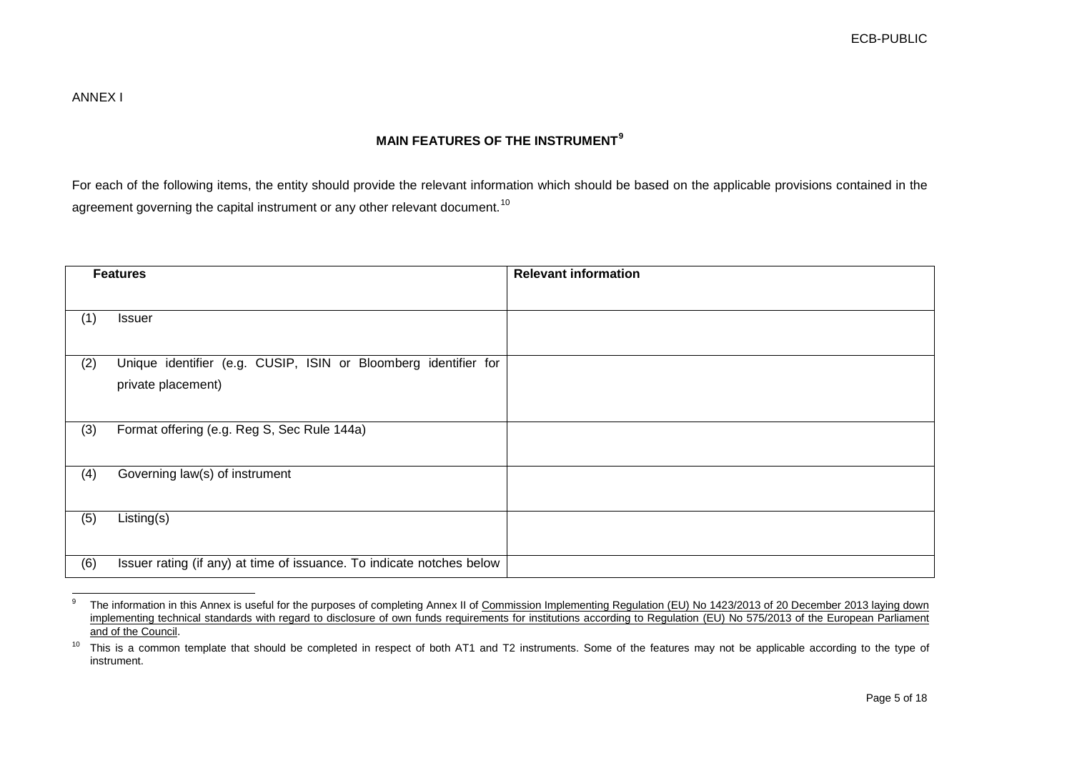# <span id="page-4-1"></span><span id="page-4-0"></span>**MAIN FEATURES OF THE INSTRUMENT[9](#page-4-0)**

For each of the following items, the entity should provide the relevant information which should be based on the applicable provisions contained in the agreement governing the capital instrument or any other relevant document.<sup>[10](#page-4-1)</sup>

|     | <b>Features</b>                                                                       | <b>Relevant information</b> |
|-----|---------------------------------------------------------------------------------------|-----------------------------|
|     |                                                                                       |                             |
| (1) | <b>Issuer</b>                                                                         |                             |
| (2) | Unique identifier (e.g. CUSIP, ISIN or Bloomberg identifier for<br>private placement) |                             |
| (3) | Format offering (e.g. Reg S, Sec Rule 144a)                                           |                             |
| (4) | Governing law(s) of instrument                                                        |                             |
| (5) | $\overline{Listing}(s)$                                                               |                             |
| (6) | Issuer rating (if any) at time of issuance. To indicate notches below                 |                             |

<sup>&</sup>lt;sup>9</sup> The information in this Annex is useful for the purposes of completing Annex II of Commission Implementing Regulation (EU) No 1423/2013 of 20 December 2013 laying down [implementing technical standards with regard to disclosure of own funds requirements for institutions according to Regulation](http://eur-lex.europa.eu/legal-content/EN/TXT/PDF/?uri=CELEX:32013R1423&from=EN) (EU) No 575/2013 of the European Parliament [and of the Council.](http://eur-lex.europa.eu/legal-content/EN/TXT/PDF/?uri=CELEX:32013R1423&from=EN)

<sup>&</sup>lt;sup>10</sup> This is a common template that should be completed in respect of both AT1 and T2 instruments. Some of the features may not be applicable according to the type of instrument.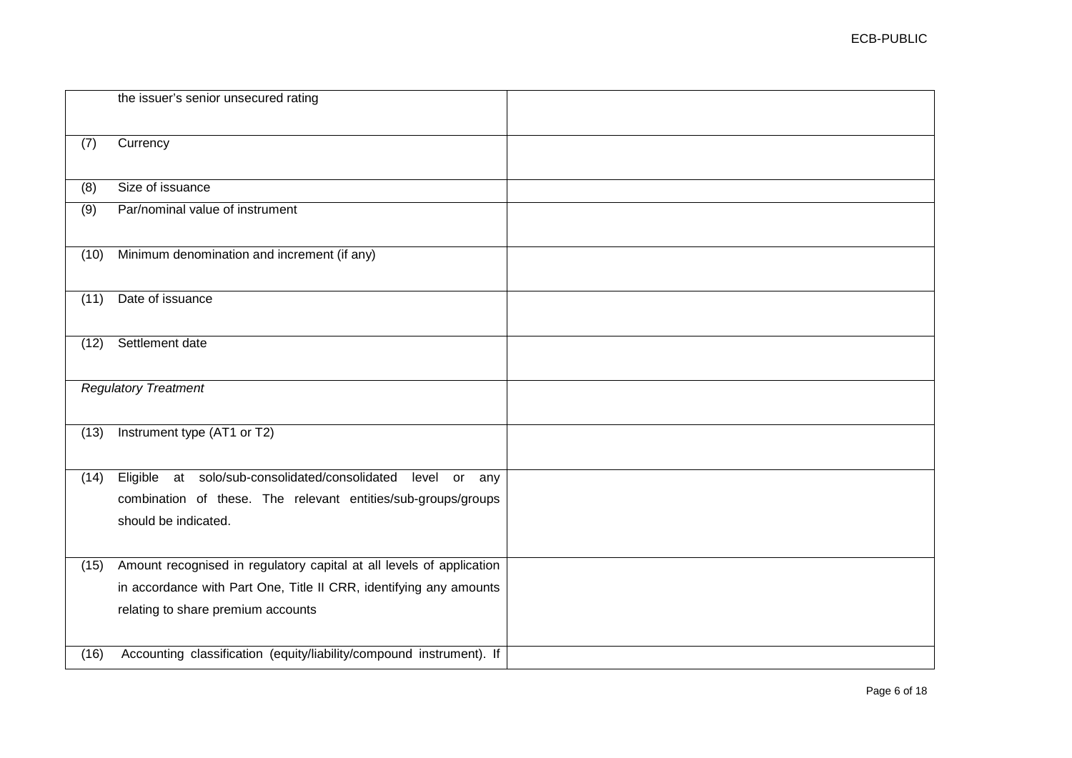|                  | the issuer's senior unsecured rating                                                                                                                                             |  |
|------------------|----------------------------------------------------------------------------------------------------------------------------------------------------------------------------------|--|
| (7)              | Currency                                                                                                                                                                         |  |
| $\overline{(8)}$ | Size of issuance                                                                                                                                                                 |  |
| $\overline{(9)}$ | Par/nominal value of instrument                                                                                                                                                  |  |
| (10)             | Minimum denomination and increment (if any)                                                                                                                                      |  |
| (11)             | Date of issuance                                                                                                                                                                 |  |
| (12)             | Settlement date                                                                                                                                                                  |  |
|                  | <b>Regulatory Treatment</b>                                                                                                                                                      |  |
| (13)             | Instrument type (AT1 or T2)                                                                                                                                                      |  |
| (14)             | Eligible at solo/sub-consolidated/consolidated<br>level or any<br>combination of these. The relevant entities/sub-groups/groups<br>should be indicated.                          |  |
| (15)             | Amount recognised in regulatory capital at all levels of application<br>in accordance with Part One, Title II CRR, identifying any amounts<br>relating to share premium accounts |  |

(16) Accounting classification (equity/liability/compound instrument). If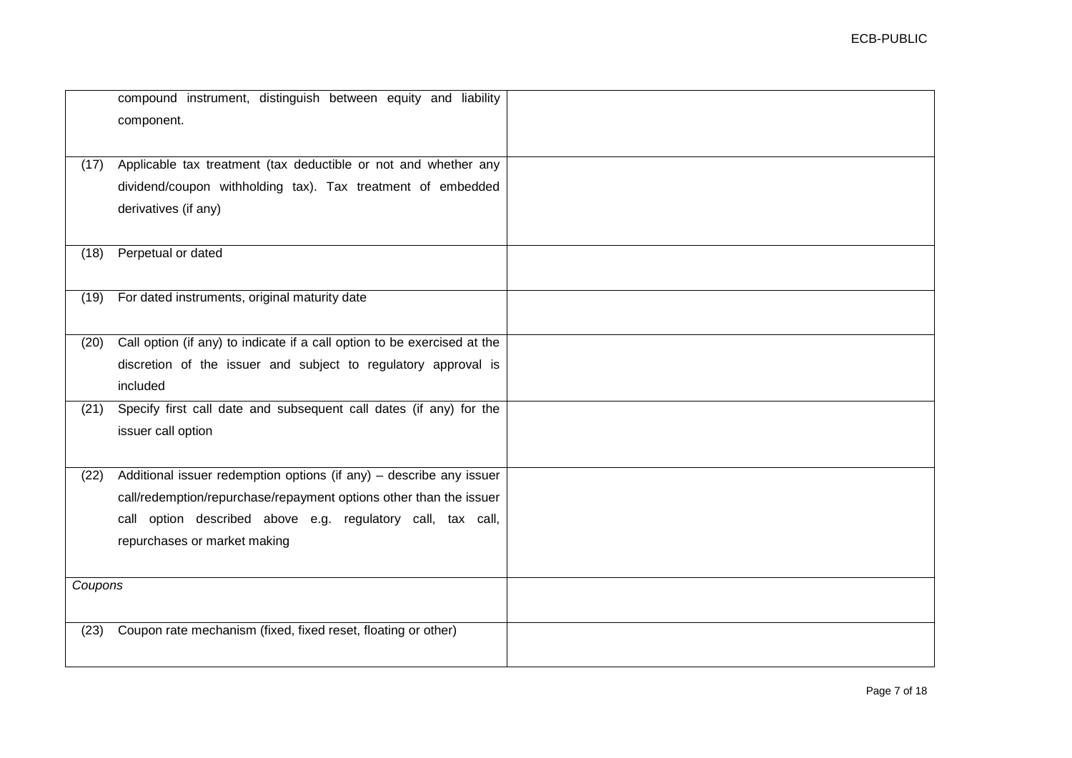|         | compound instrument, distinguish between equity and liability<br>component. |  |
|---------|-----------------------------------------------------------------------------|--|
|         |                                                                             |  |
| (17)    | Applicable tax treatment (tax deductible or not and whether any             |  |
|         | dividend/coupon withholding tax). Tax treatment of embedded                 |  |
|         | derivatives (if any)                                                        |  |
|         |                                                                             |  |
| (18)    | Perpetual or dated                                                          |  |
|         |                                                                             |  |
| (19)    | For dated instruments, original maturity date                               |  |
|         |                                                                             |  |
| (20)    | Call option (if any) to indicate if a call option to be exercised at the    |  |
|         | discretion of the issuer and subject to regulatory approval is              |  |
|         | included                                                                    |  |
| (21)    | Specify first call date and subsequent call dates (if any) for the          |  |
|         | issuer call option                                                          |  |
|         |                                                                             |  |
| (22)    | Additional issuer redemption options (if any) - describe any issuer         |  |
|         | call/redemption/repurchase/repayment options other than the issuer          |  |
|         | call option described above e.g. regulatory call, tax call,                 |  |
|         | repurchases or market making                                                |  |
|         |                                                                             |  |
| Coupons |                                                                             |  |
|         |                                                                             |  |
| (23)    | Coupon rate mechanism (fixed, fixed reset, floating or other)               |  |
|         |                                                                             |  |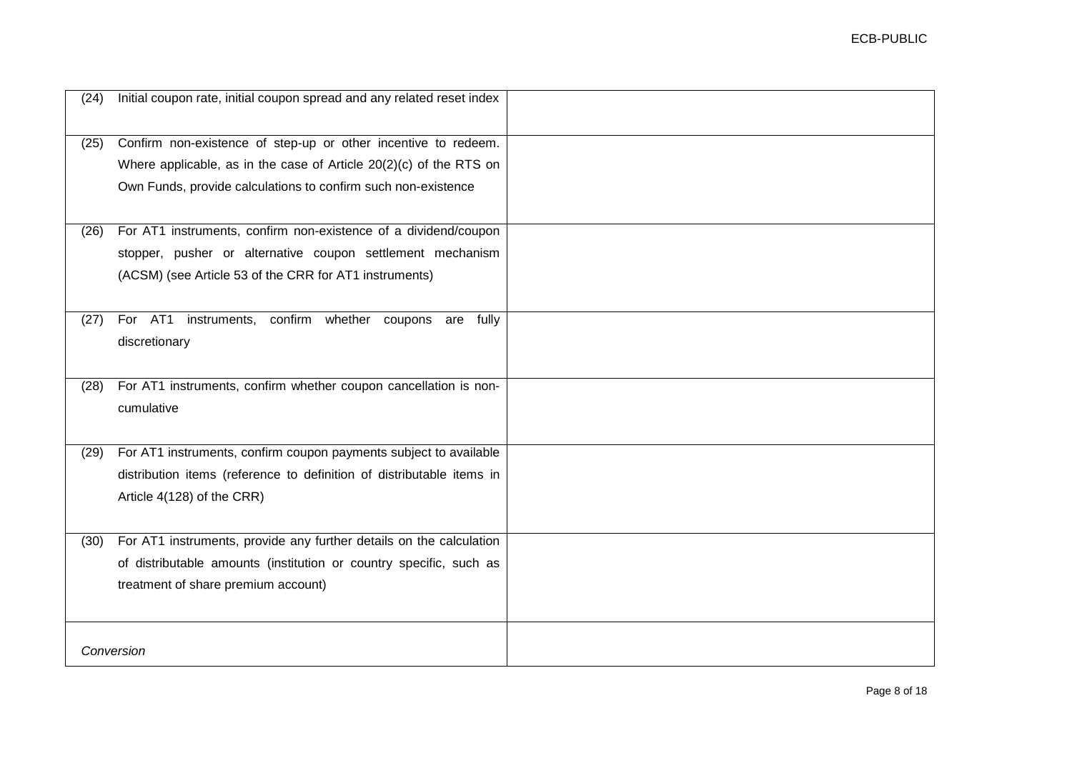| (24) | Initial coupon rate, initial coupon spread and any related reset index |  |
|------|------------------------------------------------------------------------|--|
| (25) | Confirm non-existence of step-up or other incentive to redeem.         |  |
|      | Where applicable, as in the case of Article $20(2)(c)$ of the RTS on   |  |
|      | Own Funds, provide calculations to confirm such non-existence          |  |
|      |                                                                        |  |
| (26) | For AT1 instruments, confirm non-existence of a dividend/coupon        |  |
|      | stopper, pusher or alternative coupon settlement mechanism             |  |
|      | (ACSM) (see Article 53 of the CRR for AT1 instruments)                 |  |
|      |                                                                        |  |
| (27) | For AT1<br>instruments, confirm whether coupons are fully              |  |
|      | discretionary                                                          |  |
|      |                                                                        |  |
| (28) | For AT1 instruments, confirm whether coupon cancellation is non-       |  |
|      | cumulative                                                             |  |
|      |                                                                        |  |
| (29) | For AT1 instruments, confirm coupon payments subject to available      |  |
|      | distribution items (reference to definition of distributable items in  |  |
|      | Article 4(128) of the CRR)                                             |  |
|      |                                                                        |  |
| (30) | For AT1 instruments, provide any further details on the calculation    |  |
|      | of distributable amounts (institution or country specific, such as     |  |
|      | treatment of share premium account)                                    |  |
|      |                                                                        |  |
|      |                                                                        |  |
|      | Conversion                                                             |  |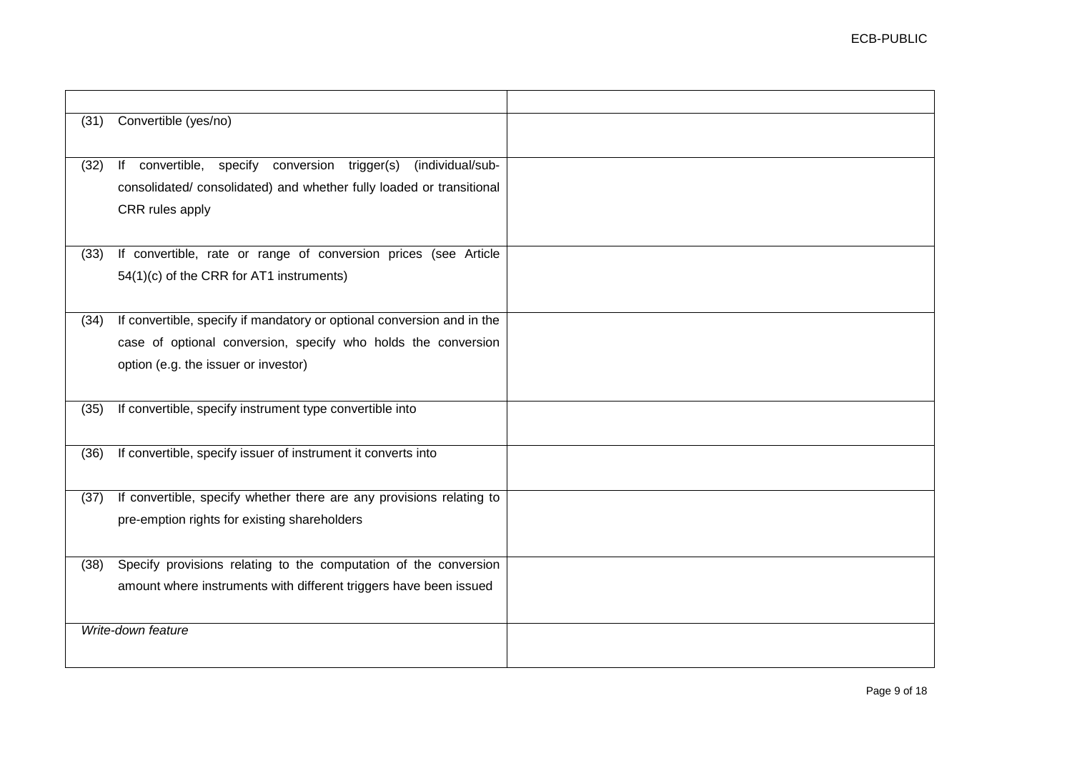| (31) | Convertible (yes/no)                                                   |  |
|------|------------------------------------------------------------------------|--|
|      |                                                                        |  |
| (32) | If convertible, specify<br>conversion trigger(s)<br>(individual/sub-   |  |
|      | consolidated/consolidated) and whether fully loaded or transitional    |  |
|      | CRR rules apply                                                        |  |
|      |                                                                        |  |
| (33) | If convertible, rate or range of conversion prices (see Article        |  |
|      | 54(1)(c) of the CRR for AT1 instruments)                               |  |
|      |                                                                        |  |
| (34) | If convertible, specify if mandatory or optional conversion and in the |  |
|      | case of optional conversion, specify who holds the conversion          |  |
|      | option (e.g. the issuer or investor)                                   |  |
|      |                                                                        |  |
| (35) | If convertible, specify instrument type convertible into               |  |
|      |                                                                        |  |
| (36) | If convertible, specify issuer of instrument it converts into          |  |
|      |                                                                        |  |
| (37) | If convertible, specify whether there are any provisions relating to   |  |
|      | pre-emption rights for existing shareholders                           |  |
|      |                                                                        |  |
| (38) | Specify provisions relating to the computation of the conversion       |  |
|      | amount where instruments with different triggers have been issued      |  |
|      |                                                                        |  |
|      | Write-down feature                                                     |  |
|      |                                                                        |  |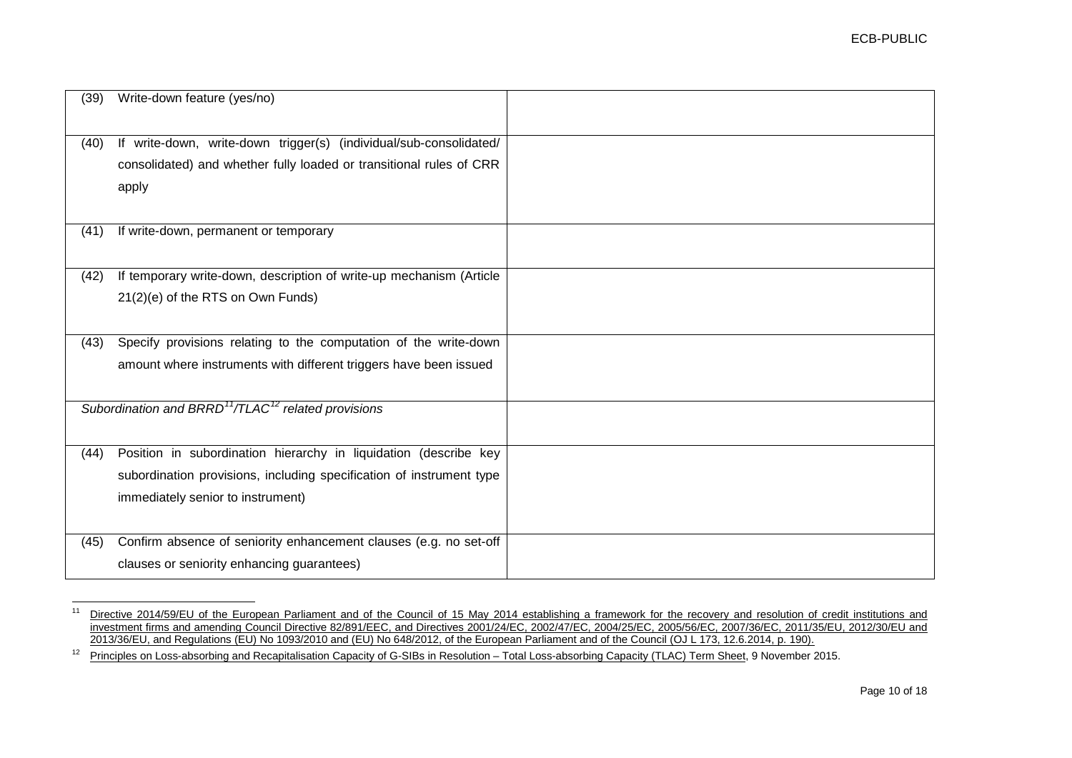<span id="page-9-1"></span><span id="page-9-0"></span>

| (39) | Write-down feature (yes/no)                                                 |  |
|------|-----------------------------------------------------------------------------|--|
| (40) | If write-down, write-down trigger(s) (individual/sub-consolidated/          |  |
|      | consolidated) and whether fully loaded or transitional rules of CRR         |  |
|      | apply                                                                       |  |
| (41) | If write-down, permanent or temporary                                       |  |
| (42) | If temporary write-down, description of write-up mechanism (Article         |  |
|      | 21(2)(e) of the RTS on Own Funds)                                           |  |
| (43) | Specify provisions relating to the computation of the write-down            |  |
|      | amount where instruments with different triggers have been issued           |  |
|      | Subordination and BRRD <sup>11</sup> /TLAC <sup>12</sup> related provisions |  |
| (44) | Position in subordination hierarchy in liquidation (describe key            |  |
|      | subordination provisions, including specification of instrument type        |  |
|      | immediately senior to instrument)                                           |  |
| (45) | Confirm absence of seniority enhancement clauses (e.g. no set-off           |  |
|      | clauses or seniority enhancing guarantees)                                  |  |

<sup>&</sup>lt;sup>11</sup> Directive 2014/59/EU of the European Parliament and of the Council of 15 May 2014 establishing a framework for the recovery and resolution of credit institutions and [investment firms and amending Council Directive 82/891/EEC, and Directives 2001/24/EC, 2002/47/EC, 2004/25/EC, 2005/56/EC, 2007/36/EC, 2011/35/EU, 2012/30/EU and](http://eur-lex.europa.eu/legal-content/EN/TXT/PDF/?uri=CELEX:32014L0059&from=EN)  [2013/36/EU, and Regulations \(EU\) No 1093/2010 and \(EU\) No 648/2012, of the European Parliament and of the Council \(OJ L 173, 12.6.2014, p. 190\).](http://eur-lex.europa.eu/legal-content/EN/TXT/PDF/?uri=CELEX:32014L0059&from=EN)

<sup>&</sup>lt;sup>12</sup> [Principles on Loss-absorbing and Recapitalisation Capacity of G-SIBs in Resolution –](http://www.financialstabilityboard.org/wp-content/uploads/TLAC-Principles-and-Term-Sheet-for-publication-final.pdf) Total Loss-absorbing Capacity (TLAC) Term Sheet, 9 November 2015.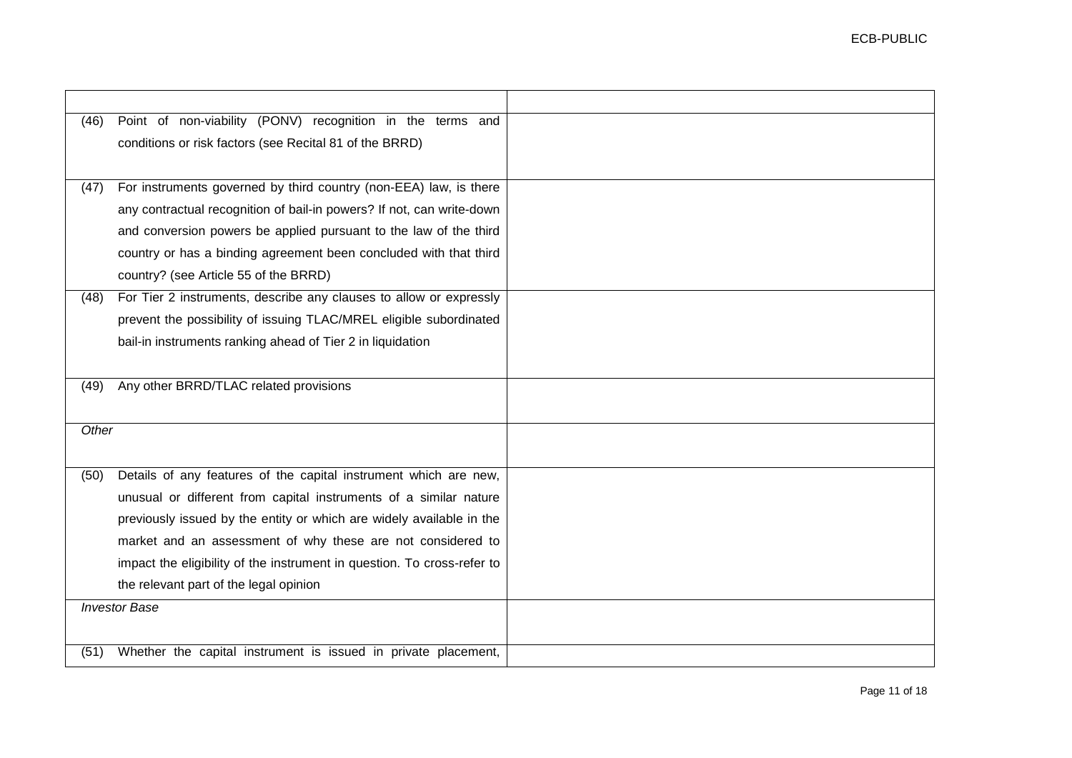| (46)  | Point of non-viability (PONV) recognition in the terms and              |  |
|-------|-------------------------------------------------------------------------|--|
|       | conditions or risk factors (see Recital 81 of the BRRD)                 |  |
|       |                                                                         |  |
| (47)  | For instruments governed by third country (non-EEA) law, is there       |  |
|       | any contractual recognition of bail-in powers? If not, can write-down   |  |
|       | and conversion powers be applied pursuant to the law of the third       |  |
|       | country or has a binding agreement been concluded with that third       |  |
|       | country? (see Article 55 of the BRRD)                                   |  |
| (48)  | For Tier 2 instruments, describe any clauses to allow or expressly      |  |
|       | prevent the possibility of issuing TLAC/MREL eligible subordinated      |  |
|       | bail-in instruments ranking ahead of Tier 2 in liquidation              |  |
|       |                                                                         |  |
| (49)  | Any other BRRD/TLAC related provisions                                  |  |
|       |                                                                         |  |
| Other |                                                                         |  |
|       |                                                                         |  |
| (50)  | Details of any features of the capital instrument which are new,        |  |
|       | unusual or different from capital instruments of a similar nature       |  |
|       | previously issued by the entity or which are widely available in the    |  |
|       | market and an assessment of why these are not considered to             |  |
|       | impact the eligibility of the instrument in question. To cross-refer to |  |
|       | the relevant part of the legal opinion                                  |  |
|       | <b>Investor Base</b>                                                    |  |
|       |                                                                         |  |
| (51)  | Whether the capital instrument is issued in private placement,          |  |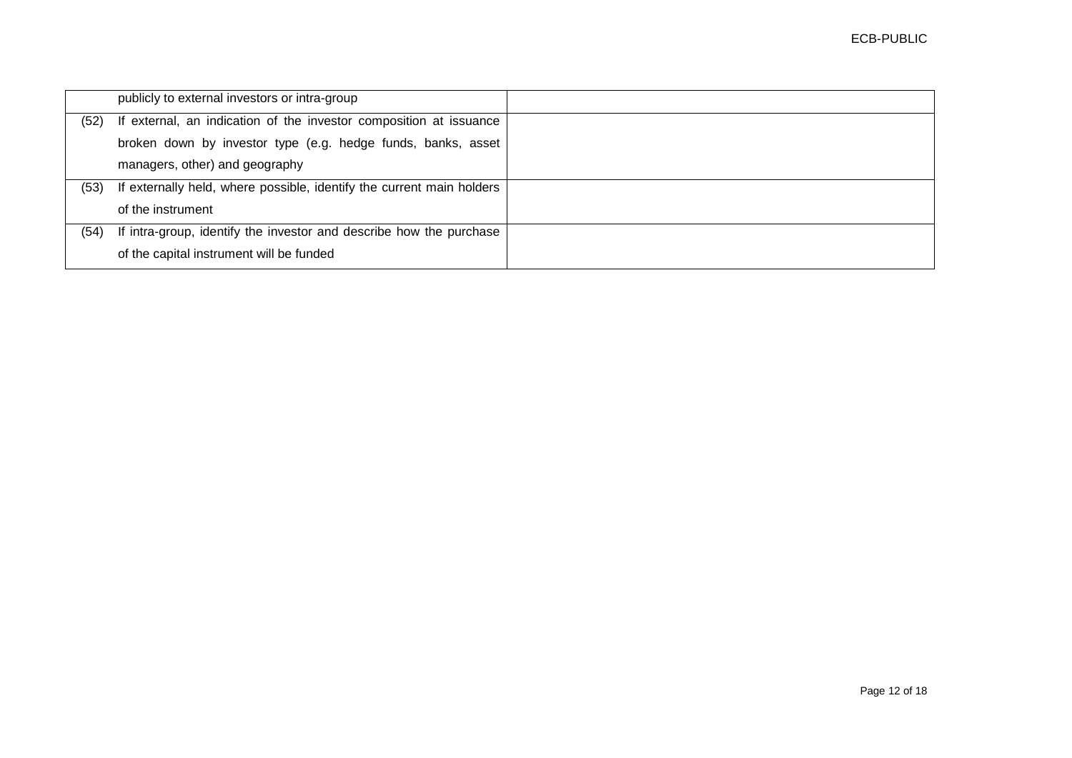|      | publicly to external investors or intra-group                         |  |
|------|-----------------------------------------------------------------------|--|
| (52) | If external, an indication of the investor composition at issuance    |  |
|      | broken down by investor type (e.g. hedge funds, banks, asset          |  |
|      | managers, other) and geography                                        |  |
| (53) | If externally held, where possible, identify the current main holders |  |
|      | of the instrument                                                     |  |
| (54) | If intra-group, identify the investor and describe how the purchase   |  |
|      | of the capital instrument will be funded                              |  |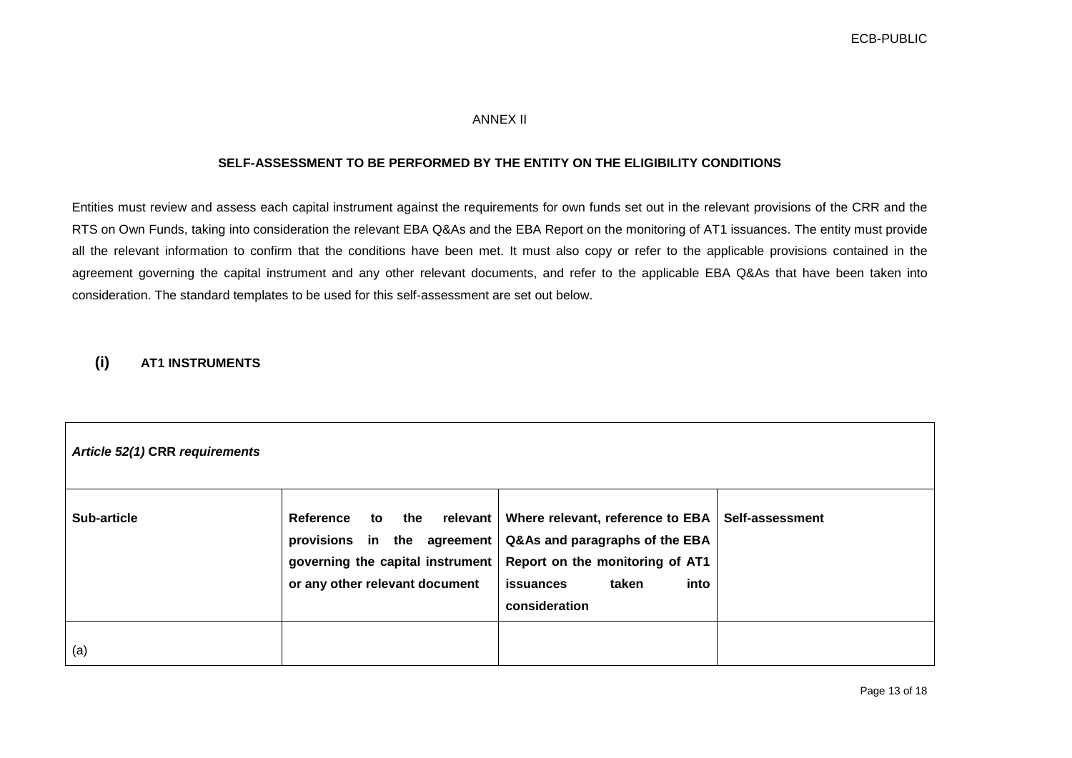### ANNEX II

#### **SELF-ASSESSMENT TO BE PERFORMED BY THE ENTITY ON THE ELIGIBILITY CONDITIONS**

Entities must review and assess each capital instrument against the requirements for own funds set out in the relevant provisions of the CRR and the RTS on Own Funds, taking into consideration the relevant EBA Q&As and the EBA Report on the monitoring of AT1 issuances. The entity must provide all the relevant information to confirm that the conditions have been met. It must also copy or refer to the applicable provisions contained in the agreement governing the capital instrument and any other relevant documents, and refer to the applicable EBA Q&As that have been taken into consideration. The standard templates to be used for this self-assessment are set out below.

## **(i) AT1 INSTRUMENTS**

| Article 52(1) CRR requirements |                                                                                                                                           |                                                                                                                                                      |                        |  |
|--------------------------------|-------------------------------------------------------------------------------------------------------------------------------------------|------------------------------------------------------------------------------------------------------------------------------------------------------|------------------------|--|
| Sub-article                    | Reference<br>relevant  <br>the<br>to<br>provisions in the agreement<br>governing the capital instrument<br>or any other relevant document | Where relevant, reference to EBA<br>Q&As and paragraphs of the EBA<br>Report on the monitoring of AT1<br>into<br>taken<br>issuances<br>consideration | <b>Self-assessment</b> |  |
| (a)                            |                                                                                                                                           |                                                                                                                                                      |                        |  |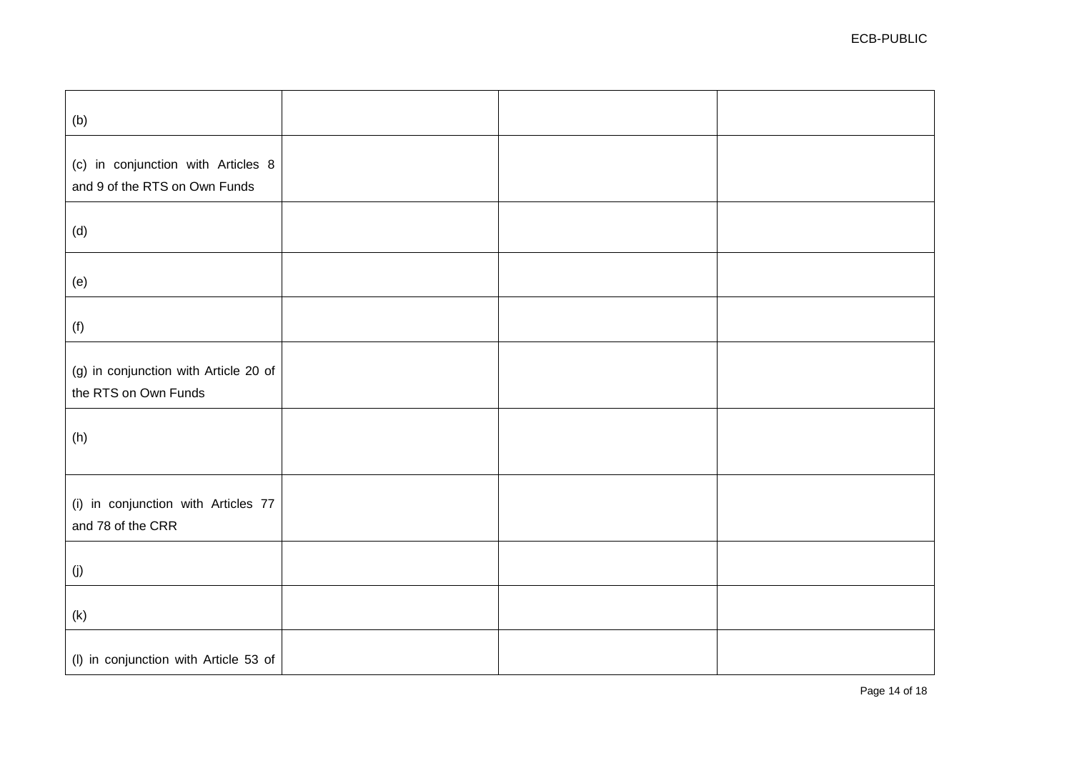| (b)                                                                 |  |  |
|---------------------------------------------------------------------|--|--|
| (c) in conjunction with Articles 8<br>and 9 of the RTS on Own Funds |  |  |
| (d)                                                                 |  |  |
| (e)                                                                 |  |  |
| (f)                                                                 |  |  |
| (g) in conjunction with Article 20 of<br>the RTS on Own Funds       |  |  |
| (h)                                                                 |  |  |
| (i) in conjunction with Articles 77<br>and 78 of the CRR            |  |  |
| (j)                                                                 |  |  |
| (k)                                                                 |  |  |
| (I) in conjunction with Article 53 of                               |  |  |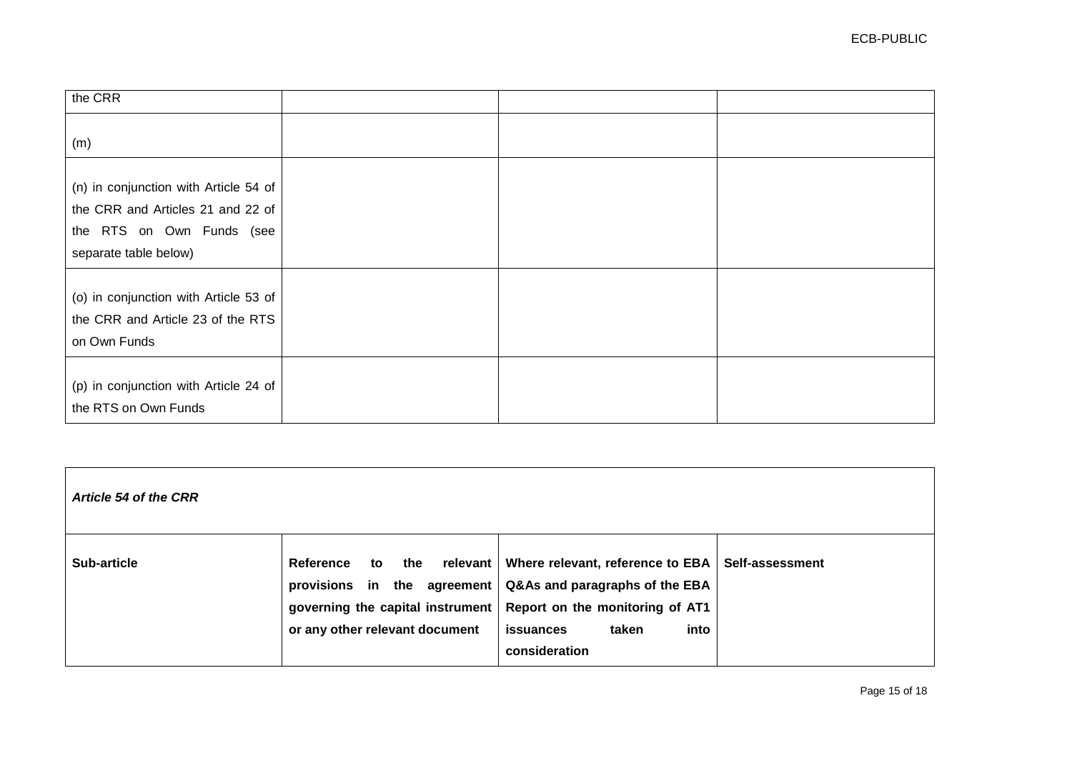| the CRR                                                                                                                          |  |  |
|----------------------------------------------------------------------------------------------------------------------------------|--|--|
| (m)                                                                                                                              |  |  |
| (n) in conjunction with Article 54 of<br>the CRR and Articles 21 and 22 of<br>the RTS on Own Funds (see<br>separate table below) |  |  |
| (o) in conjunction with Article 53 of<br>the CRR and Article 23 of the RTS<br>on Own Funds                                       |  |  |
| (p) in conjunction with Article 24 of<br>the RTS on Own Funds                                                                    |  |  |

| Article 54 of the CRR |                                                                                                                                 |                                                                                                                                                                                   |  |
|-----------------------|---------------------------------------------------------------------------------------------------------------------------------|-----------------------------------------------------------------------------------------------------------------------------------------------------------------------------------|--|
| <b>Sub-article</b>    | the<br>Reference<br>to<br>provisions in the agreement  <br>governing the capital instrument  <br>or any other relevant document | relevant   Where relevant, reference to EBA   Self-assessment<br>Q&As and paragraphs of the EBA<br>Report on the monitoring of AT1<br>into<br>issuances<br>taken<br>consideration |  |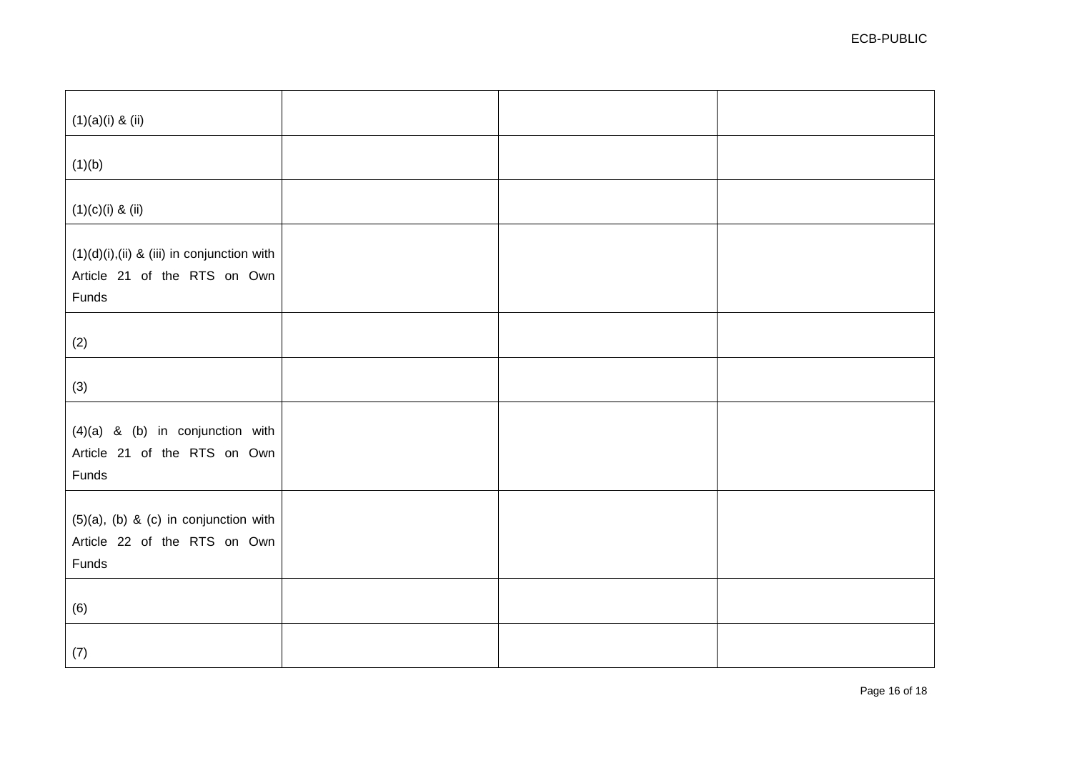| $(1)(a)(i)$ & $(ii)$                                                                    |  |  |
|-----------------------------------------------------------------------------------------|--|--|
| (1)(b)                                                                                  |  |  |
| $(1)(c)(i)$ & $(ii)$                                                                    |  |  |
| $(1)(d)(i)$ , (ii) & (iii) in conjunction with<br>Article 21 of the RTS on Own<br>Funds |  |  |
| (2)                                                                                     |  |  |
| (3)                                                                                     |  |  |
| $(4)(a)$ & $(b)$ in conjunction with<br>Article 21 of the RTS on Own<br>Funds           |  |  |
| $(5)(a)$ , $(b)$ & $(c)$ in conjunction with<br>Article 22 of the RTS on Own<br>Funds   |  |  |
| (6)                                                                                     |  |  |
| (7)                                                                                     |  |  |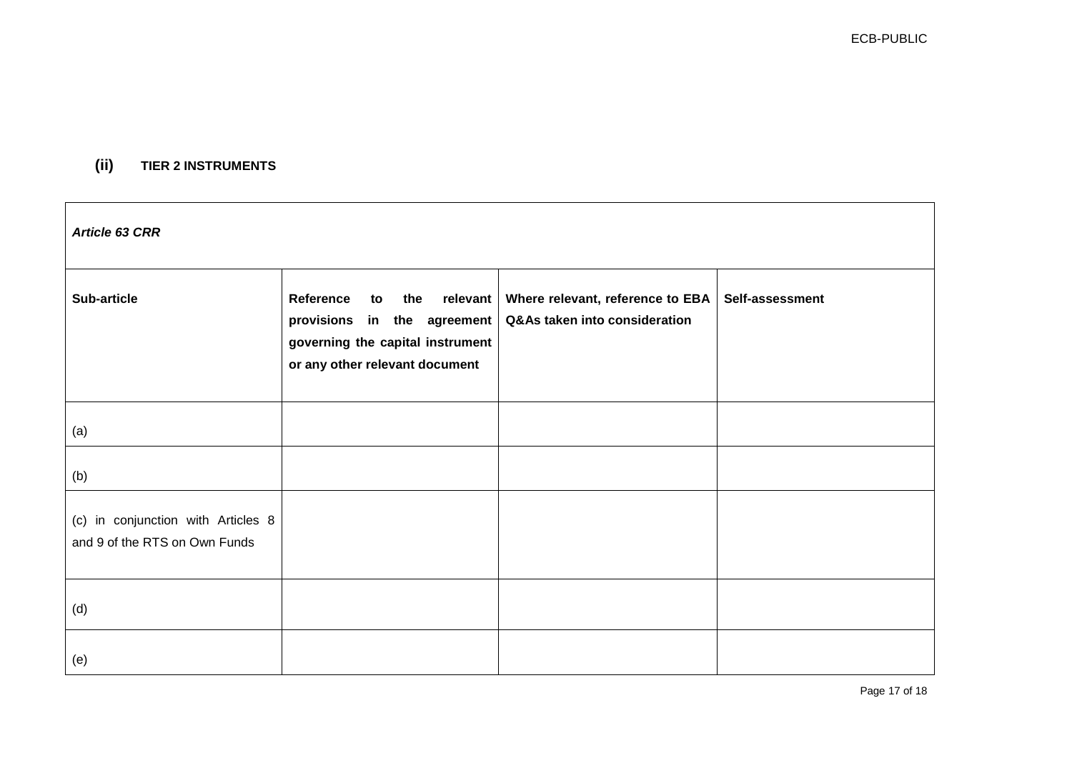# **(ii) TIER 2 INSTRUMENTS**

| Article 63 CRR                                                      |                                                                                                                                           |                                                                   |                 |  |  |
|---------------------------------------------------------------------|-------------------------------------------------------------------------------------------------------------------------------------------|-------------------------------------------------------------------|-----------------|--|--|
| <b>Sub-article</b>                                                  | Reference<br>to<br>the<br>relevant  <br>provisions in the agreement<br>governing the capital instrument<br>or any other relevant document | Where relevant, reference to EBA<br>Q&As taken into consideration | Self-assessment |  |  |
| (a)                                                                 |                                                                                                                                           |                                                                   |                 |  |  |
| (b)                                                                 |                                                                                                                                           |                                                                   |                 |  |  |
| (c) in conjunction with Articles 8<br>and 9 of the RTS on Own Funds |                                                                                                                                           |                                                                   |                 |  |  |
| (d)                                                                 |                                                                                                                                           |                                                                   |                 |  |  |
| (e)                                                                 |                                                                                                                                           |                                                                   |                 |  |  |